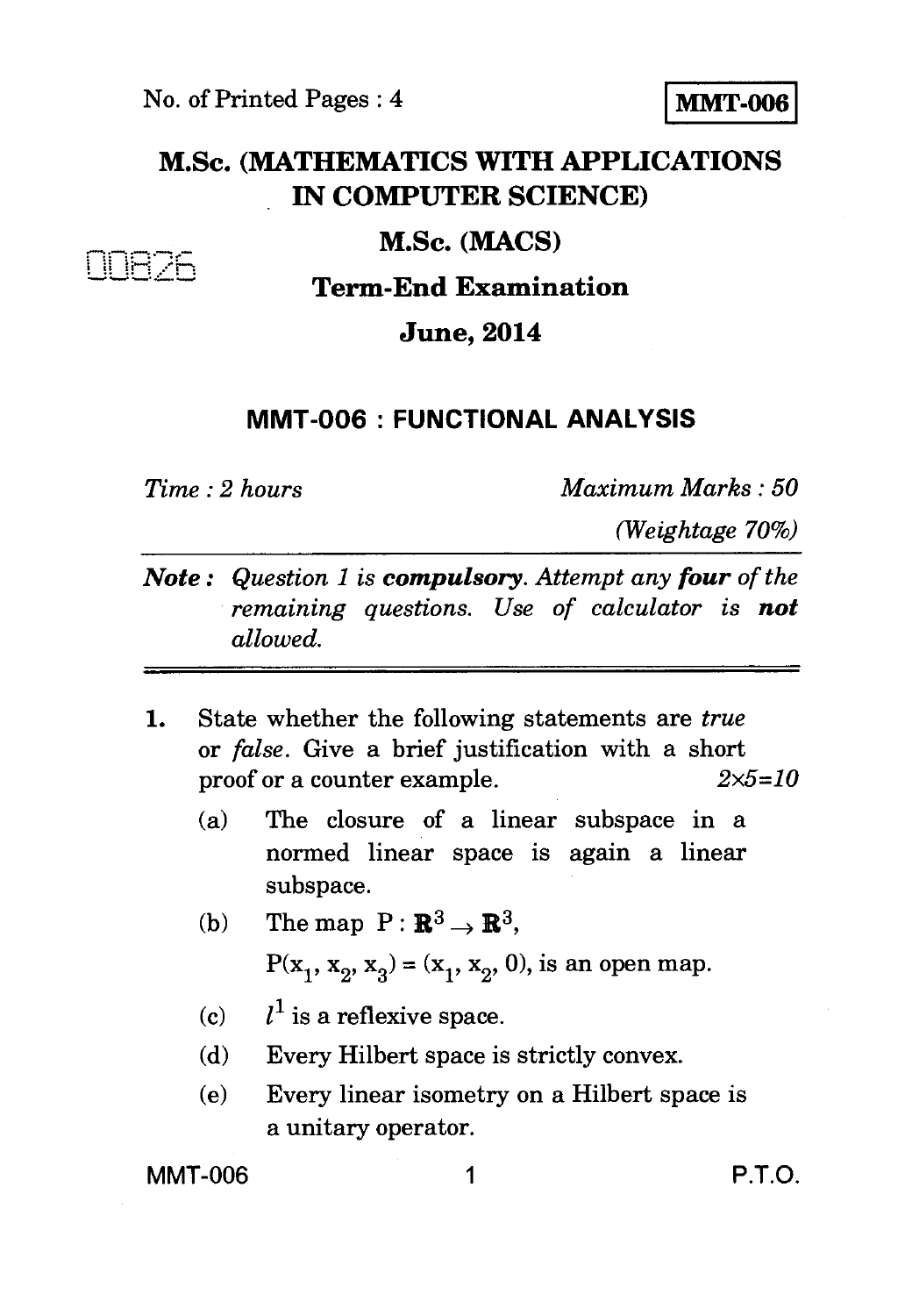# **M.Sc. (MATHEMATICS WITH APPLICATIONS IN COMPUTER SCIENCE)**

### **M.Sc. (MACS)**

## **Term-End Examination**

### **June, 2014**

#### **MMT-006 : FUNCTIONAL ANALYSIS**

IIHZh

*Time : 2 hours Maximum Marks : 50* 

*(Weightage 70%)* 

- *Note : Question 1 is compulsory. Attempt any four of the remaining questions. Use of calculator is not allowed.*
- **1.** State whether the following statements are *true*  or *false.* Give a brief justification with a short proof or a counter example. *2x5=10* 
	- (a) The closure of a linear subspace in a normed linear space is again a linear subspace.
	- (b) The map  $P: \mathbb{R}^3 \rightarrow \mathbb{R}^3$ ,  $P(x_1, x_2, x_3) = (x_1, x_2, 0)$ , is an open map.
	- (c)  $l^1$  is a reflexive space.
	- (d) Every Hilbert space is strictly convex.
	- (e) Every linear isometry on a Hilbert space is a unitary operator.

MMT-006 1 P.T.O.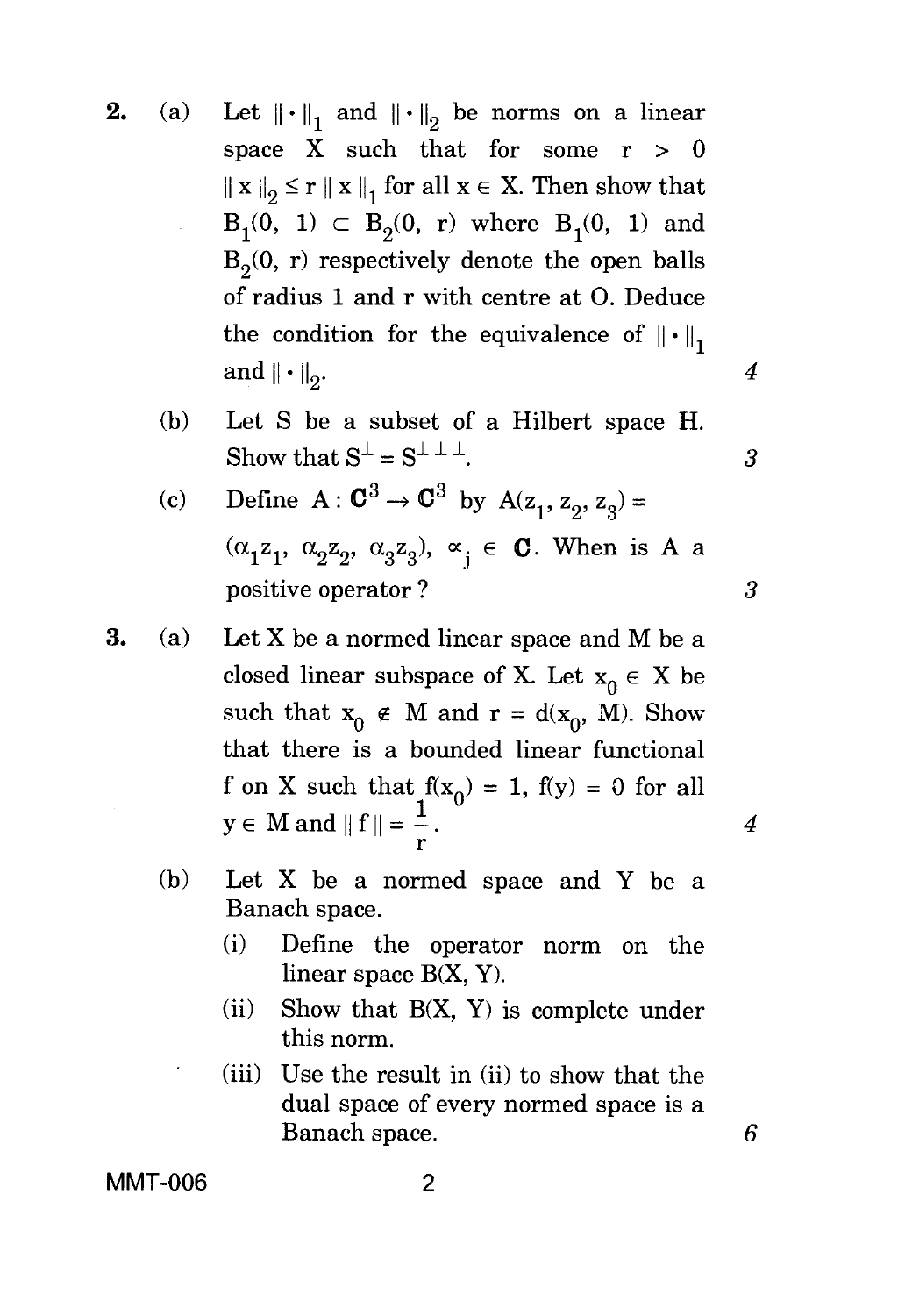- **2.** (a) Let  $\|\cdot\|_1$  and  $\|\cdot\|_2$  be norms on a linear space X such that for some  $r > 0$  $||x||_2 \le r ||x||_1$  for all  $x \in X$ . Then show that  $B_1(0, 1) \subset B_2(0, r)$  where  $B_1(0, 1)$  and  $B_2(0, r)$  respectively denote the open balls of radius 1 and r with centre at 0. Deduce the condition for the equivalence of  $\|\cdot\|$ , and  $\|\cdot\|_2$ . 4
	- (b) Let S be a subset of a Hilbert space H. Show that  $S^{\perp} = S^{\perp \perp \perp}$ . 3
	- (c) Define A :  $\mathbb{C}^3 \to \mathbb{C}^3$  by A(z<sub>1</sub>, z<sub>2</sub>, z<sub>3</sub>) =  $(\alpha_1 z_1, \alpha_2 z_2, \alpha_3 z_3), \alpha_i \in \mathbb{C}$ . When is A a positive operator ? *3*
- **3.** (a) Let X be a normed linear space and M be a closed linear subspace of X. Let  $x_0 \in X$  be such that  $x_0 \notin M$  and  $r = d(x_0, M)$ . Show that there is a bounded linear functional f on X such that  $f(x_0) = 1$ ,  $f(y) = 0$  for all  $y \in M$  and  $\| f \| = \frac{1}{r}$ . 4
	- (b) Let X be a normed space and Y be a Banach space.
		- (i) Define the operator norm on the linear space B(X, Y).
		- (ii) Show that  $B(X, Y)$  is complete under this norm.
		- (iii) Use the result in (ii) to show that the dual space of every normed space is a Banach space. *6*

**MMT-006** 2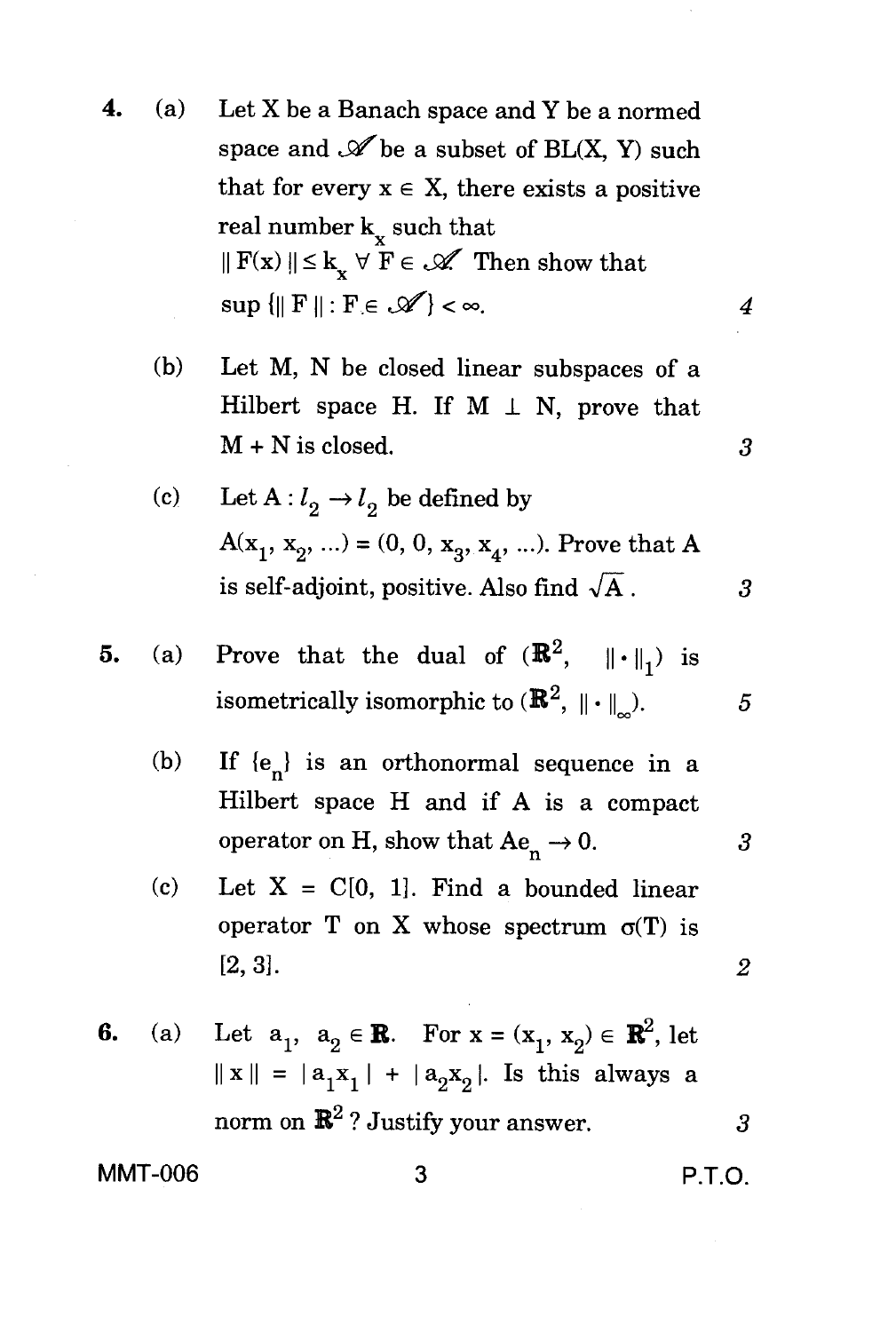- **4.** (a) Let X be a Banach space and Y be a normed space and  $\mathscr A$  be a subset of BL(X, Y) such that for every  $x \in X$ , there exists a positive real number  $k_{r}$  such that  $\|F(x)\| \leq k_{x} \forall F \in \mathcal{K}$  Then show that  $\sup \{\Vert F \Vert : F \in \mathscr{A}\}\lt\infty.$  4
	- (b) Let M, N be closed linear subspaces of a Hilbert space H. If  $M \perp N$ , prove that M + N is closed. *3*
	- (c) Let  $A: l_2 \to l_2$  be defined by  $A(x_1, x_2, ...) = (0, 0, x_3, x_4, ...)$ . Prove that A is self-adjoint, positive. Also find  $\sqrt{A}$ . 3

5. (a) Prove that the dual of 
$$
(\mathbb{R}^2, \| \cdot \|_1)
$$
 is  
isometrically isomorphic to  $(\mathbb{R}^2, \| \cdot \|_{\infty})$ . 5

- (b) If  $\{e_n\}$  is an orthonormal sequence in a Hilbert space H and if A is a compact operator on H, show that  $Ae_n \to 0$ . 3
- (c) Let  $X = C[0, 1]$ . Find a bounded linear operator T on X whose spectrum  $\sigma(T)$  is [2, *3] . 2*

6. (a) Let 
$$
a_1, a_2 \in \mathbb{R}
$$
. For  $x = (x_1, x_2) \in \mathbb{R}^2$ , let  $||x|| = |a_1x_1| + |a_2x_2|$ . Is this always a norm on  $\mathbb{R}^2$ ? Justify your answer.

**MMT-006 3 P.T.O.**